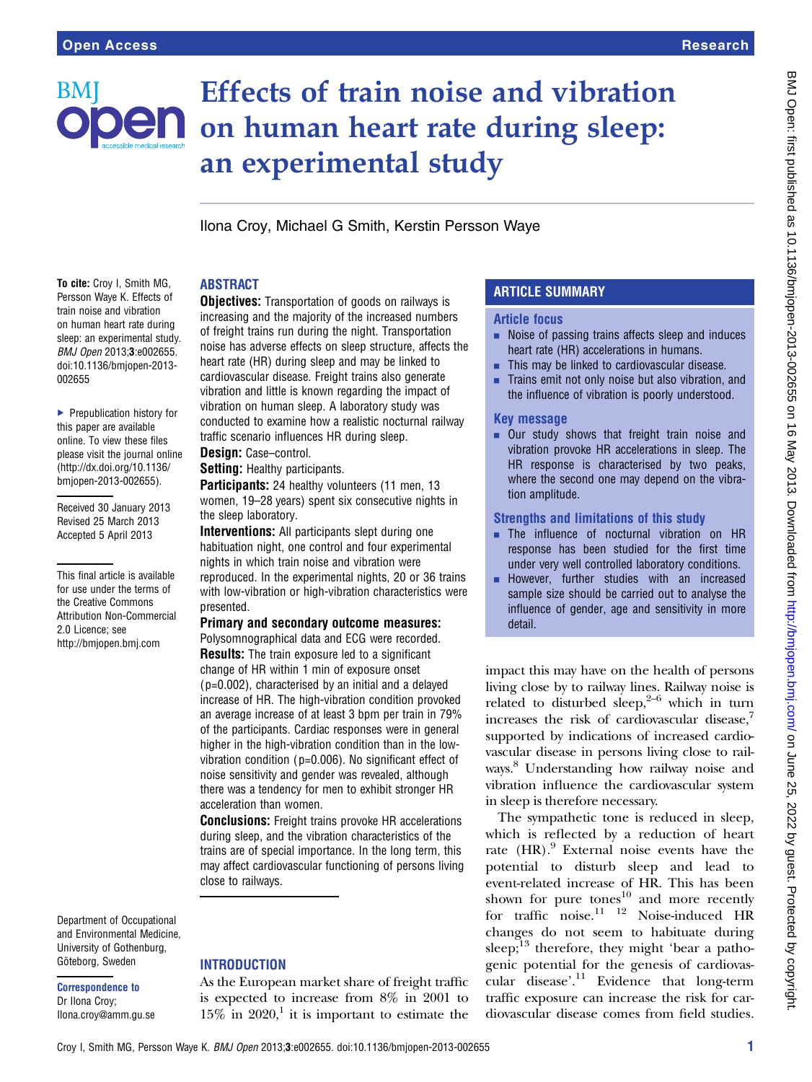**BM** 

# Effects of train noise and vibration  $\mathbf{P}\mathbf{C}\mathbf{D}$  on human heart rate during sleep: an experimental study

Ilona Croy, Michael G Smith, Kerstin Persson Waye

## ABSTRACT

To cite: Croy I, Smith MG, Persson Waye K. Effects of train noise and vibration on human heart rate during sleep: an experimental study. BMJ Open 2013;3:e002655. doi:10.1136/bmjopen-2013- 002655

▶ Prepublication history for this paper are available online. To view these files please visit the journal online [\(http://dx.doi.org/10.1136/](http://dx.doi.org/10.1136/bmjopen-2013-002655) [bmjopen-2013-002655](http://dx.doi.org/10.1136/bmjopen-2013-002655)).

Received 30 January 2013 Revised 25 March 2013 Accepted 5 April 2013

This final article is available for use under the terms of the Creative Commons Attribution Non-Commercial 2.0 Licence; see <http://bmjopen.bmj.com>

Department of Occupational and Environmental Medicine, University of Gothenburg, Göteborg, Sweden

Correspondence to Dr Ilona Croy; Ilona.croy@amm.gu.se **Objectives:** Transportation of goods on railways is increasing and the majority of the increased numbers of freight trains run during the night. Transportation noise has adverse effects on sleep structure, affects the heart rate (HR) during sleep and may be linked to cardiovascular disease. Freight trains also generate vibration and little is known regarding the impact of vibration on human sleep. A laboratory study was conducted to examine how a realistic nocturnal railway traffic scenario influences HR during sleep. Design: Case–control.

Setting: Healthy participants.

Participants: 24 healthy volunteers (11 men, 13 women, 19–28 years) spent six consecutive nights in the sleep laboratory.

Interventions: All participants slept during one habituation night, one control and four experimental nights in which train noise and vibration were reproduced. In the experimental nights, 20 or 36 trains with low-vibration or high-vibration characteristics were presented.

## Primary and secondary outcome measures:

Polysomnographical data and ECG were recorded. **Results:** The train exposure led to a significant change of HR within 1 min of exposure onset ( p=0.002), characterised by an initial and a delayed increase of HR. The high-vibration condition provoked an average increase of at least 3 bpm per train in 79% of the participants. Cardiac responses were in general higher in the high-vibration condition than in the lowvibration condition ( p=0.006). No significant effect of noise sensitivity and gender was revealed, although there was a tendency for men to exhibit stronger HR acceleration than women.

**Conclusions:** Freight trains provoke HR accelerations during sleep, and the vibration characteristics of the trains are of special importance. In the long term, this may affect cardiovascular functioning of persons living close to railways.

## **INTRODUCTION**

As the European market share of freight traffic is expected to increase from 8% in 2001 to  $15\%$  in 2020,<sup>1</sup> it is important to estimate the

# ARTICLE SUMMARY

#### Article focus

- Noise of passing trains affects sleep and induces heart rate (HR) accelerations in humans.
- $\blacksquare$  This may be linked to cardiovascular disease.
- $\blacksquare$  Trains emit not only noise but also vibration, and the influence of vibration is poorly understood.

## Key message

**. Our study shows that freight train noise and** vibration provoke HR accelerations in sleep. The HR response is characterised by two peaks, where the second one may depend on the vibration amplitude.

## Strengths and limitations of this study

- **Exercise 15 Increase in Figure 15 Incremental vibration on HR** response has been studied for the first time under very well controlled laboratory conditions.
- $\blacksquare$  However, further studies with an increased sample size should be carried out to analyse the influence of gender, age and sensitivity in more detail.

impact this may have on the health of persons living close by to railway lines. Railway noise is related to disturbed sleep,<sup>2–6</sup> which in turn increases the risk of cardiovascular disease, $^7$ supported by indications of increased cardiovascular disease in persons living close to railways.8 Understanding how railway noise and vibration influence the cardiovascular system in sleep is therefore necessary.

The sympathetic tone is reduced in sleep, which is reflected by a reduction of heart rate (HR).<sup>9</sup> External noise events have the potential to disturb sleep and lead to event-related increase of HR. This has been shown for pure tones $^{10}$  and more recently for traffic noise.<sup>11</sup> <sup>12</sup> Noise-induced HR changes do not seem to habituate during sleep; $^{13}$  therefore, they might 'bear a pathogenic potential for the genesis of cardiovascular disease'. <sup>11</sup> Evidence that long-term traffic exposure can increase the risk for cardiovascular disease comes from field studies.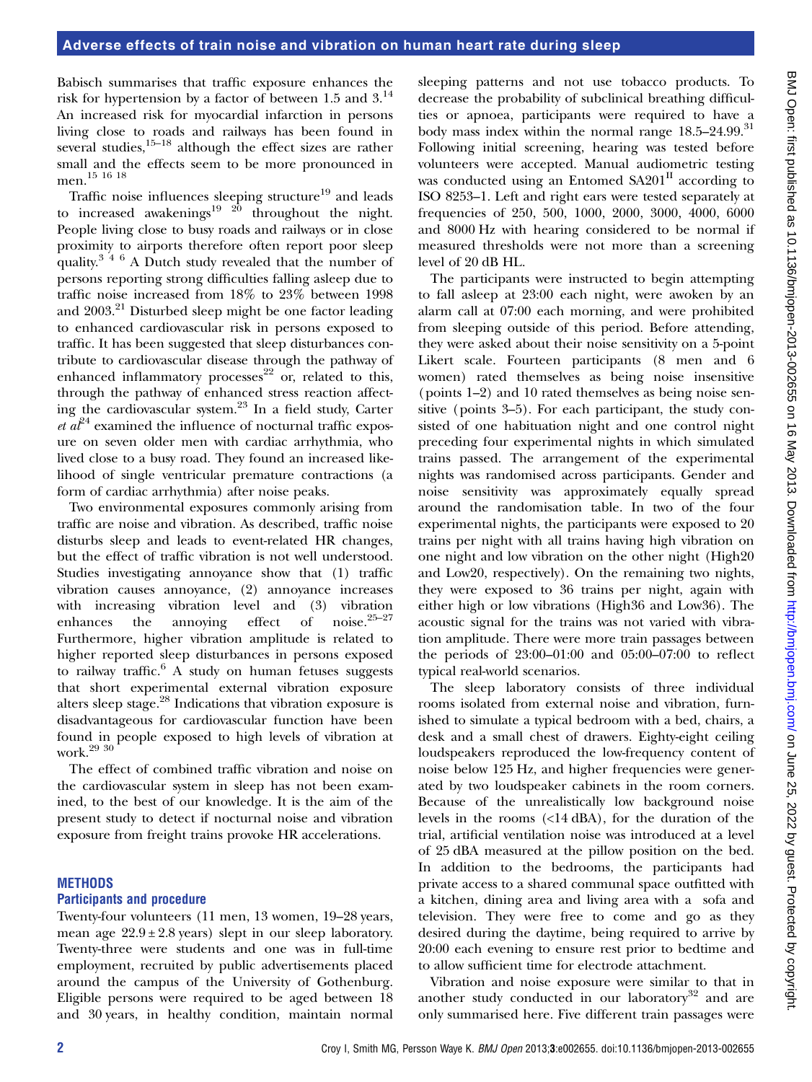Babisch summarises that traffic exposure enhances the risk for hypertension by a factor of between 1.5 and  $3<sup>14</sup>$ An increased risk for myocardial infarction in persons living close to roads and railways has been found in several studies, $15-18$  although the effect sizes are rather small and the effects seem to be more pronounced in men.<sup>15</sup> 16 18

Traffic noise influences sleeping structure<sup>19</sup> and leads to increased awakenings $19^{20}$  throughout the night. People living close to busy roads and railways or in close proximity to airports therefore often report poor sleep quality.<sup>346</sup> A Dutch study revealed that the number of persons reporting strong difficulties falling asleep due to traffic noise increased from 18% to 23% between 1998 and 2003.<sup>21</sup> Disturbed sleep might be one factor leading to enhanced cardiovascular risk in persons exposed to traffic. It has been suggested that sleep disturbances contribute to cardiovascular disease through the pathway of enhanced inflammatory processes $^{22}$  or, related to this, through the pathway of enhanced stress reaction affecting the cardiovascular system.23 In a field study, Carter *et a* $l^2$ <sup>4</sup> examined the influence of nocturnal traffic exposure on seven older men with cardiac arrhythmia, who lived close to a busy road. They found an increased likelihood of single ventricular premature contractions (a form of cardiac arrhythmia) after noise peaks.

Two environmental exposures commonly arising from traffic are noise and vibration. As described, traffic noise disturbs sleep and leads to event-related HR changes, but the effect of traffic vibration is not well understood. Studies investigating annoyance show that (1) traffic vibration causes annoyance, (2) annoyance increases with increasing vibration level and (3) vibration enhances the annoying effect of noise. $25-27$ Furthermore, higher vibration amplitude is related to higher reported sleep disturbances in persons exposed to railway traffic. $6$  A study on human fetuses suggests that short experimental external vibration exposure alters sleep stage.<sup>28</sup> Indications that vibration exposure is disadvantageous for cardiovascular function have been found in people exposed to high levels of vibration at work.29 30

The effect of combined traffic vibration and noise on the cardiovascular system in sleep has not been examined, to the best of our knowledge. It is the aim of the present study to detect if nocturnal noise and vibration exposure from freight trains provoke HR accelerations.

#### **METHODS**

#### Participants and procedure

Twenty-four volunteers (11 men, 13 women, 19–28 years, mean age  $22.9 \pm 2.8$  years) slept in our sleep laboratory. Twenty-three were students and one was in full-time employment, recruited by public advertisements placed around the campus of the University of Gothenburg. Eligible persons were required to be aged between 18 and 30 years, in healthy condition, maintain normal

sleeping patterns and not use tobacco products. To decrease the probability of subclinical breathing difficulties or apnoea, participants were required to have a body mass index within the normal range 18.5–24.99.<sup>31</sup> Following initial screening, hearing was tested before volunteers were accepted. Manual audiometric testing was conducted using an Entomed  $SA201<sup>H</sup>$  according to ISO 8253–1. Left and right ears were tested separately at frequencies of 250, 500, 1000, 2000, 3000, 4000, 6000 and 8000 Hz with hearing considered to be normal if measured thresholds were not more than a screening level of 20 dB HL.

The participants were instructed to begin attempting to fall asleep at 23:00 each night, were awoken by an alarm call at 07:00 each morning, and were prohibited from sleeping outside of this period. Before attending, they were asked about their noise sensitivity on a 5-point Likert scale. Fourteen participants (8 men and 6 women) rated themselves as being noise insensitive (points 1–2) and 10 rated themselves as being noise sensitive (points 3–5). For each participant, the study consisted of one habituation night and one control night preceding four experimental nights in which simulated trains passed. The arrangement of the experimental nights was randomised across participants. Gender and noise sensitivity was approximately equally spread around the randomisation table. In two of the four experimental nights, the participants were exposed to 20 trains per night with all trains having high vibration on one night and low vibration on the other night (High20 and Low20, respectively). On the remaining two nights, they were exposed to 36 trains per night, again with either high or low vibrations (High36 and Low36). The acoustic signal for the trains was not varied with vibration amplitude. There were more train passages between the periods of 23:00–01:00 and 05:00–07:00 to reflect typical real-world scenarios.

The sleep laboratory consists of three individual rooms isolated from external noise and vibration, furnished to simulate a typical bedroom with a bed, chairs, a desk and a small chest of drawers. Eighty-eight ceiling loudspeakers reproduced the low-frequency content of noise below 125 Hz, and higher frequencies were generated by two loudspeaker cabinets in the room corners. Because of the unrealistically low background noise levels in the rooms (<14 dBA), for the duration of the trial, artificial ventilation noise was introduced at a level of 25 dBA measured at the pillow position on the bed. In addition to the bedrooms, the participants had private access to a shared communal space outfitted with a kitchen, dining area and living area with a sofa and television. They were free to come and go as they desired during the daytime, being required to arrive by 20:00 each evening to ensure rest prior to bedtime and to allow sufficient time for electrode attachment.

Vibration and noise exposure were similar to that in another study conducted in our laboratory $32$  and are only summarised here. Five different train passages were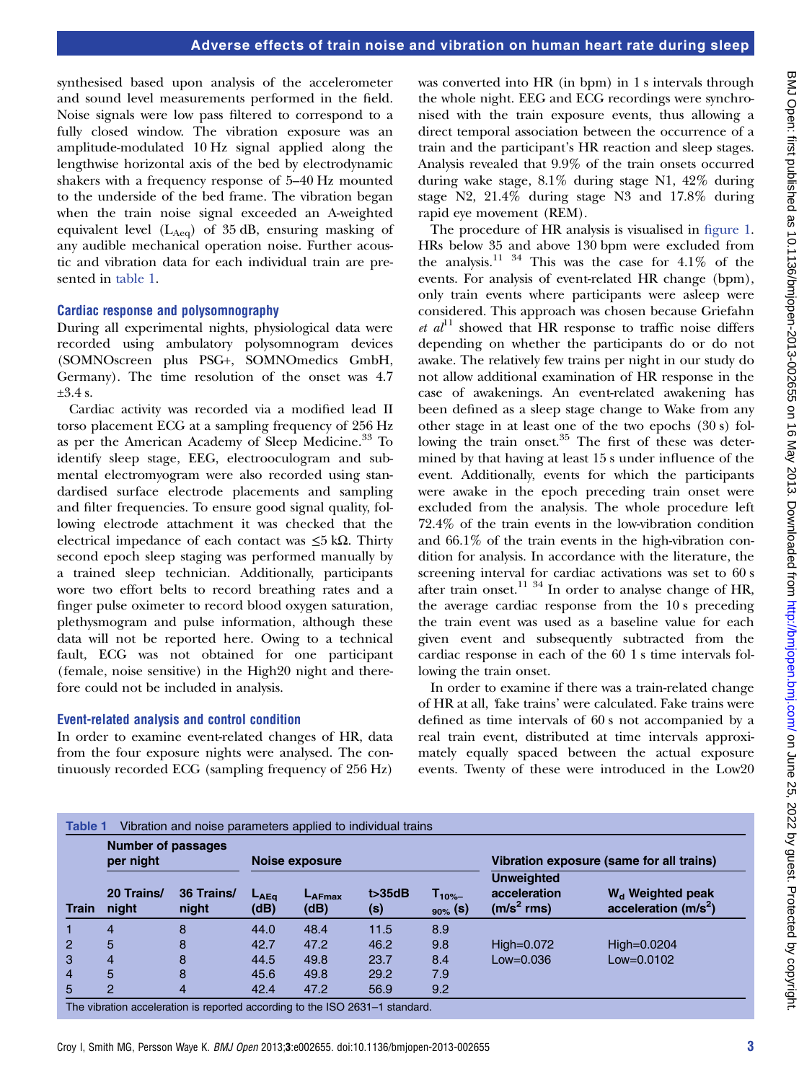synthesised based upon analysis of the accelerometer and sound level measurements performed in the field. Noise signals were low pass filtered to correspond to a fully closed window. The vibration exposure was an amplitude-modulated 10 Hz signal applied along the lengthwise horizontal axis of the bed by electrodynamic shakers with a frequency response of 5–40 Hz mounted to the underside of the bed frame. The vibration began when the train noise signal exceeded an A-weighted equivalent level  $(L_{Aeq})$  of 35 dB, ensuring masking of any audible mechanical operation noise. Further acoustic and vibration data for each individual train are presented in table 1.

#### Cardiac response and polysomnography

During all experimental nights, physiological data were recorded using ambulatory polysomnogram devices (SOMNOscreen plus PSG+, SOMNOmedics GmbH, Germany). The time resolution of the onset was 4.7  $\pm 3.4$  s.

Cardiac activity was recorded via a modified lead II torso placement ECG at a sampling frequency of 256 Hz as per the American Academy of Sleep Medicine.<sup>33</sup> To identify sleep stage, EEG, electrooculogram and submental electromyogram were also recorded using standardised surface electrode placements and sampling and filter frequencies. To ensure good signal quality, following electrode attachment it was checked that the electrical impedance of each contact was  $\leq 5$  kΩ. Thirty second epoch sleep staging was performed manually by a trained sleep technician. Additionally, participants wore two effort belts to record breathing rates and a finger pulse oximeter to record blood oxygen saturation, plethysmogram and pulse information, although these data will not be reported here. Owing to a technical fault, ECG was not obtained for one participant (female, noise sensitive) in the High20 night and therefore could not be included in analysis.

#### Event-related analysis and control condition

In order to examine event-related changes of HR, data from the four exposure nights were analysed. The continuously recorded ECG (sampling frequency of 256 Hz)

was converted into HR (in bpm) in 1 s intervals through the whole night. EEG and ECG recordings were synchronised with the train exposure events, thus allowing a direct temporal association between the occurrence of a train and the participant's HR reaction and sleep stages. Analysis revealed that 9.9% of the train onsets occurred during wake stage, 8.1% during stage N1, 42% during stage N2, 21.4% during stage N3 and 17.8% during rapid eye movement (REM).

The procedure of HR analysis is visualised in figure 1. HRs below 35 and above 130 bpm were excluded from the analysis.<sup>11 34</sup> This was the case for  $4.1\%$  of the events. For analysis of event-related HR change (bpm), only train events where participants were asleep were considered. This approach was chosen because Griefahn et  $al<sup>11</sup>$  showed that HR response to traffic noise differs depending on whether the participants do or do not awake. The relatively few trains per night in our study do not allow additional examination of HR response in the case of awakenings. An event-related awakening has been defined as a sleep stage change to Wake from any other stage in at least one of the two epochs (30 s) following the train onset.<sup>35</sup> The first of these was determined by that having at least 15 s under influence of the event. Additionally, events for which the participants were awake in the epoch preceding train onset were excluded from the analysis. The whole procedure left 72.4% of the train events in the low-vibration condition and 66.1% of the train events in the high-vibration condition for analysis. In accordance with the literature, the screening interval for cardiac activations was set to 60 s after train onset.<sup>11 34</sup> In order to analyse change of HR, the average cardiac response from the 10 s preceding the train event was used as a baseline value for each given event and subsequently subtracted from the cardiac response in each of the 60 1 s time intervals following the train onset.

In order to examine if there was a train-related change of HR at all, 'fake trains' were calculated. Fake trains were defined as time intervals of 60 s not accompanied by a real train event, distributed at time intervals approximately equally spaced between the actual exposure events. Twenty of these were introduced in the Low20

| <b>Train</b> | <b>Number of passages</b><br>per night |                     | <b>Noise exposure</b> |                     |                 |                             | Vibration exposure (same for all trains)                    |                                                       |
|--------------|----------------------------------------|---------------------|-----------------------|---------------------|-----------------|-----------------------------|-------------------------------------------------------------|-------------------------------------------------------|
|              | 20 Trains/<br>night                    | 36 Trains/<br>night | LAEa<br>(dB)          | $L_{AFmax}$<br>(dB) | t > 35dB<br>(s) | $T_{10\%}$<br>$_{90\%}$ (s) | <b>Unweighted</b><br>acceleration<br>(m/s <sup>2</sup> rms) | W <sub>d</sub> Weighted peak<br>acceleration $(m/s2)$ |
|              | 4                                      | 8                   | 44.0                  | 48.4                | 11.5            | 8.9                         |                                                             |                                                       |
| 2            | 5                                      | 8                   | 42.7                  | 47.2                | 46.2            | 9.8                         | High= $0.072$                                               | High= $0.0204$                                        |
| 3            | 4                                      | 8                   | 44.5                  | 49.8                | 23.7            | 8.4                         | $Low = 0.036$                                               | $Low = 0.0102$                                        |
| 4            | 5                                      | 8                   | 45.6                  | 49.8                | 29.2            | 7.9                         |                                                             |                                                       |
| 5            | 2                                      | $\overline{4}$      | 42.4                  | 47.2                | 56.9            | 9.2                         |                                                             |                                                       |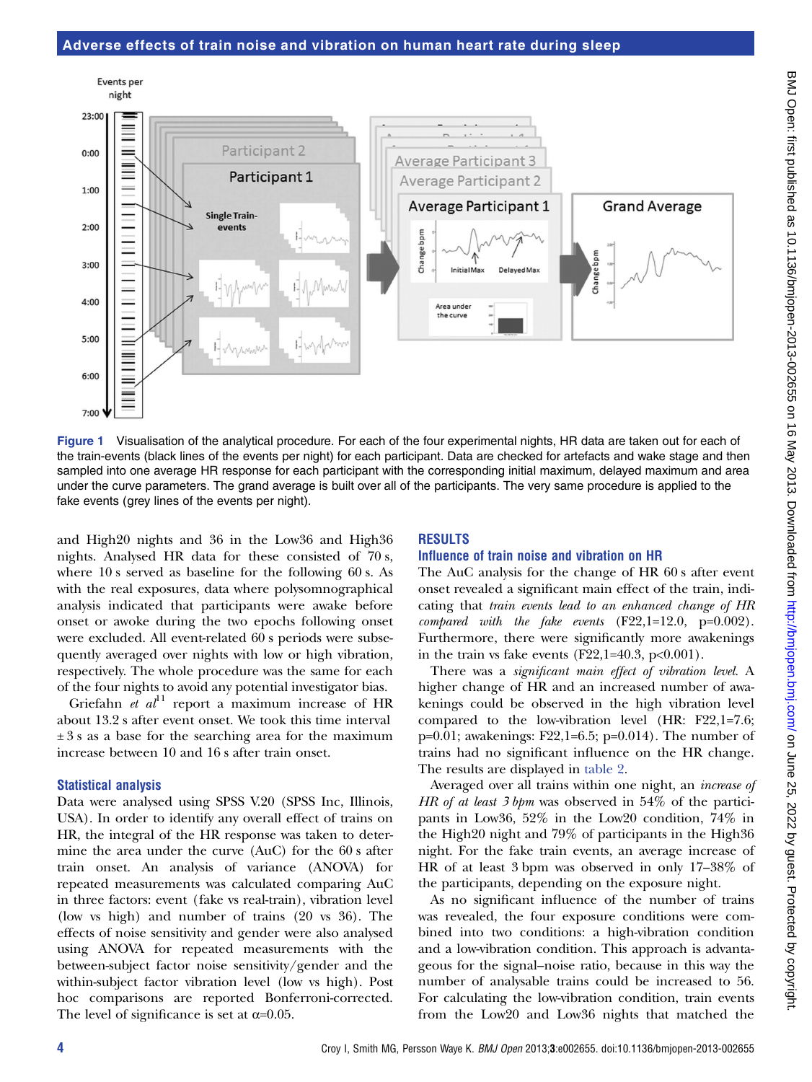

Figure 1 Visualisation of the analytical procedure. For each of the four experimental nights, HR data are taken out for each of the train-events (black lines of the events per night) for each participant. Data are checked for artefacts and wake stage and then sampled into one average HR response for each participant with the corresponding initial maximum, delayed maximum and area under the curve parameters. The grand average is built over all of the participants. The very same procedure is applied to the fake events (grey lines of the events per night).

and High20 nights and 36 in the Low36 and High36 nights. Analysed HR data for these consisted of 70 s, where 10 s served as baseline for the following 60 s. As with the real exposures, data where polysomnographical analysis indicated that participants were awake before onset or awoke during the two epochs following onset were excluded. All event-related 60 s periods were subsequently averaged over nights with low or high vibration, respectively. The whole procedure was the same for each of the four nights to avoid any potential investigator bias.

Griefahn et  $a l^{11}$  report a maximum increase of HR about 13.2 s after event onset. We took this time interval  $\pm$  3 s as a base for the searching area for the maximum increase between 10 and 16 s after train onset.

# Statistical analysis

Data were analysed using SPSS V.20 (SPSS Inc, Illinois, USA). In order to identify any overall effect of trains on HR, the integral of the HR response was taken to determine the area under the curve (AuC) for the 60 s after train onset. An analysis of variance (ANOVA) for repeated measurements was calculated comparing AuC in three factors: event ( fake vs real-train), vibration level (low vs high) and number of trains (20 vs 36). The effects of noise sensitivity and gender were also analysed using ANOVA for repeated measurements with the between-subject factor noise sensitivity/gender and the within-subject factor vibration level (low vs high). Post hoc comparisons are reported Bonferroni-corrected. The level of significance is set at  $\alpha$ =0.05.

# RESULTS

# Influence of train noise and vibration on HR

The AuC analysis for the change of HR 60 s after event onset revealed a significant main effect of the train, indicating that train events lead to an enhanced change of HR compared with the fake events  $(F22,1=12.0, p=0.002)$ . Furthermore, there were significantly more awakenings in the train vs fake events  $(F22, 1=40.3, p<0.001)$ .

There was a significant main effect of vibration level. A higher change of HR and an increased number of awakenings could be observed in the high vibration level compared to the low-vibration level (HR: F22,1=7.6; p=0.01; awakenings: F22,1=6.5; p=0.014). The number of trains had no significant influence on the HR change. The results are displayed in table 2.

Averaged over all trains within one night, an increase of HR of at least  $3 \text{ bpm}$  was observed in  $54\%$  of the participants in Low36, 52% in the Low20 condition, 74% in the High20 night and 79% of participants in the High36 night. For the fake train events, an average increase of HR of at least 3 bpm was observed in only 17–38% of the participants, depending on the exposure night.

As no significant influence of the number of trains was revealed, the four exposure conditions were combined into two conditions: a high-vibration condition and a low-vibration condition. This approach is advantageous for the signal–noise ratio, because in this way the number of analysable trains could be increased to 56. For calculating the low-vibration condition, train events from the Low20 and Low36 nights that matched the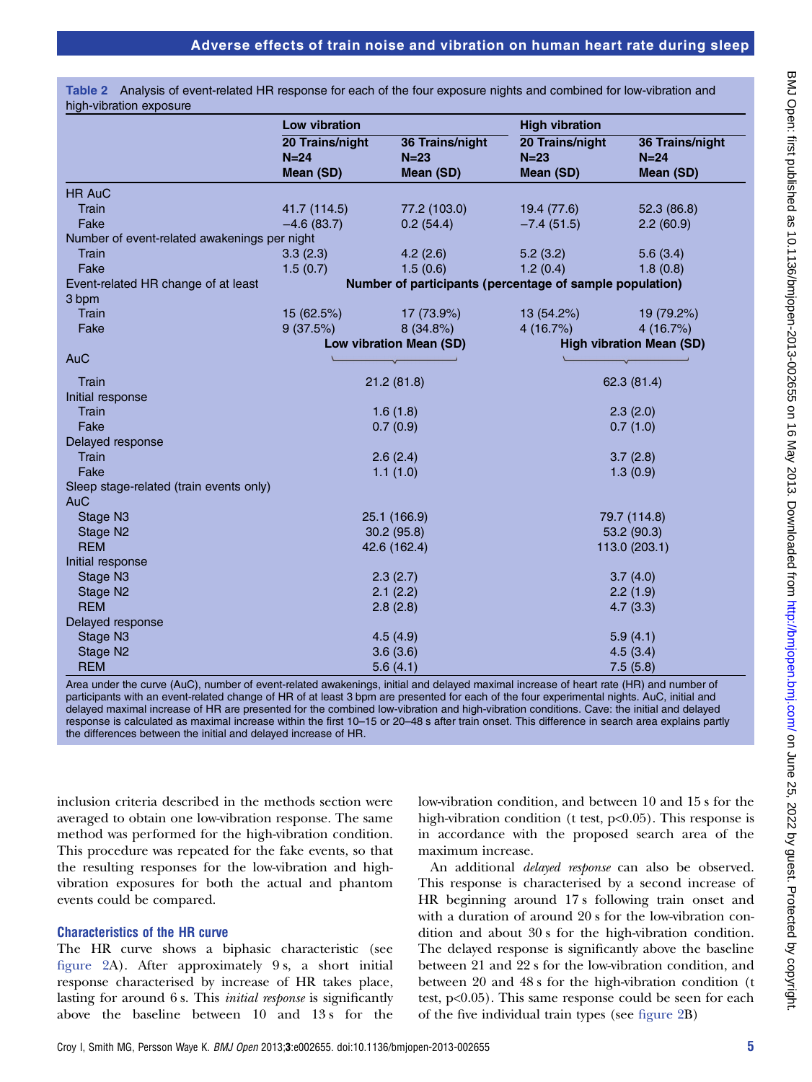Table 2 Analysis of event-related HR response for each of the four exposure nights and combined for low-vibration and high-vibration exposure

|                                              | Low vibration                                            |                           | <b>High vibration</b>     |                                 |  |  |  |
|----------------------------------------------|----------------------------------------------------------|---------------------------|---------------------------|---------------------------------|--|--|--|
|                                              | 20 Trains/night<br>$N=24$                                | 36 Trains/night<br>$N=23$ | 20 Trains/night<br>$N=23$ | 36 Trains/night<br>$N=24$       |  |  |  |
|                                              | Mean (SD)                                                | Mean (SD)                 | Mean (SD)                 | Mean (SD)                       |  |  |  |
| <b>HR AuC</b>                                |                                                          |                           |                           |                                 |  |  |  |
| <b>Train</b>                                 | 41.7 (114.5)                                             | 77.2 (103.0)              | 19.4 (77.6)               | 52.3 (86.8)                     |  |  |  |
| Fake                                         | $-4.6(83.7)$                                             | 0.2(54.4)                 | $-7.4(51.5)$              | 2.2(60.9)                       |  |  |  |
| Number of event-related awakenings per night |                                                          |                           |                           |                                 |  |  |  |
| Train                                        | 3.3(2.3)                                                 | 4.2(2.6)                  | 5.2(3.2)                  | 5.6(3.4)                        |  |  |  |
| Fake                                         | 1.5(0.7)                                                 | 1.5(0.6)                  | 1.2(0.4)                  | 1.8(0.8)                        |  |  |  |
| Event-related HR change of at least          | Number of participants (percentage of sample population) |                           |                           |                                 |  |  |  |
| 3 bpm                                        |                                                          |                           |                           |                                 |  |  |  |
| Train                                        | 15 (62.5%)                                               | 17 (73.9%)                | 13 (54.2%)                | 19 (79.2%)                      |  |  |  |
| Fake                                         | 9(37.5%)                                                 | 8 (34.8%)                 | 4 (16.7%)                 | 4(16.7%)                        |  |  |  |
|                                              |                                                          | Low vibration Mean (SD)   |                           | <b>High vibration Mean (SD)</b> |  |  |  |
| <b>AuC</b>                                   |                                                          |                           |                           |                                 |  |  |  |
| Train                                        |                                                          | 21.2(81.8)                |                           | 62.3 (81.4)                     |  |  |  |
| Initial response                             |                                                          |                           |                           |                                 |  |  |  |
| Train                                        |                                                          | 1.6(1.8)                  |                           | 2.3(2.0)                        |  |  |  |
| Fake                                         |                                                          | 0.7(0.9)                  |                           | 0.7(1.0)                        |  |  |  |
| Delayed response                             |                                                          |                           |                           |                                 |  |  |  |
| Train                                        |                                                          | 2.6(2.4)                  |                           | 3.7(2.8)                        |  |  |  |
| Fake                                         |                                                          | 1.1(1.0)                  |                           | 1.3(0.9)                        |  |  |  |
| Sleep stage-related (train events only)      |                                                          |                           |                           |                                 |  |  |  |
| <b>AuC</b>                                   |                                                          |                           |                           |                                 |  |  |  |
| Stage N3                                     |                                                          | 25.1 (166.9)              |                           | 79.7 (114.8)                    |  |  |  |
| Stage N2                                     |                                                          | 30.2(95.8)                |                           | 53.2 (90.3)                     |  |  |  |
| <b>REM</b>                                   |                                                          | 42.6 (162.4)              |                           | 113.0 (203.1)                   |  |  |  |
| Initial response                             |                                                          |                           |                           |                                 |  |  |  |
| Stage N3                                     |                                                          | 2.3(2.7)                  |                           | 3.7(4.0)                        |  |  |  |
| Stage N <sub>2</sub>                         |                                                          | 2.1(2.2)                  |                           | 2.2(1.9)                        |  |  |  |
| <b>REM</b>                                   |                                                          | 2.8(2.8)                  |                           | 4.7(3.3)                        |  |  |  |
| Delayed response                             |                                                          |                           |                           |                                 |  |  |  |
| Stage N3                                     |                                                          | 4.5(4.9)                  |                           | 5.9(4.1)                        |  |  |  |
| Stage N <sub>2</sub>                         |                                                          | 3.6(3.6)                  |                           | 4.5(3.4)                        |  |  |  |
| <b>REM</b>                                   |                                                          | 5.6(4.1)                  |                           | 7.5(5.8)                        |  |  |  |

Area under the curve (AuC), number of event-related awakenings, initial and delayed maximal increase of heart rate (HR) and number of participants with an event-related change of HR of at least 3 bpm are presented for each of the four experimental nights. AuC, initial and delayed maximal increase of HR are presented for the combined low-vibration and high-vibration conditions. Cave: the initial and delayed response is calculated as maximal increase within the first 10–15 or 20–48 s after train onset. This difference in search area explains partly the differences between the initial and delayed increase of HR.

inclusion criteria described in the methods section were averaged to obtain one low-vibration response. The same method was performed for the high-vibration condition. This procedure was repeated for the fake events, so that the resulting responses for the low-vibration and highvibration exposures for both the actual and phantom events could be compared.

## Characteristics of the HR curve

The HR curve shows a biphasic characteristic (see figure 2A). After approximately 9 s, a short initial response characterised by increase of HR takes place, lasting for around 6 s. This initial response is significantly above the baseline between 10 and 13 s for the low-vibration condition, and between 10 and 15 s for the high-vibration condition (t test,  $p<0.05$ ). This response is in accordance with the proposed search area of the maximum increase.

An additional *delayed response* can also be observed. This response is characterised by a second increase of HR beginning around 17 s following train onset and with a duration of around 20 s for the low-vibration condition and about 30 s for the high-vibration condition. The delayed response is significantly above the baseline between 21 and 22 s for the low-vibration condition, and between 20 and 48 s for the high-vibration condition (t test, p<0.05). This same response could be seen for each of the five individual train types (see figure 2B)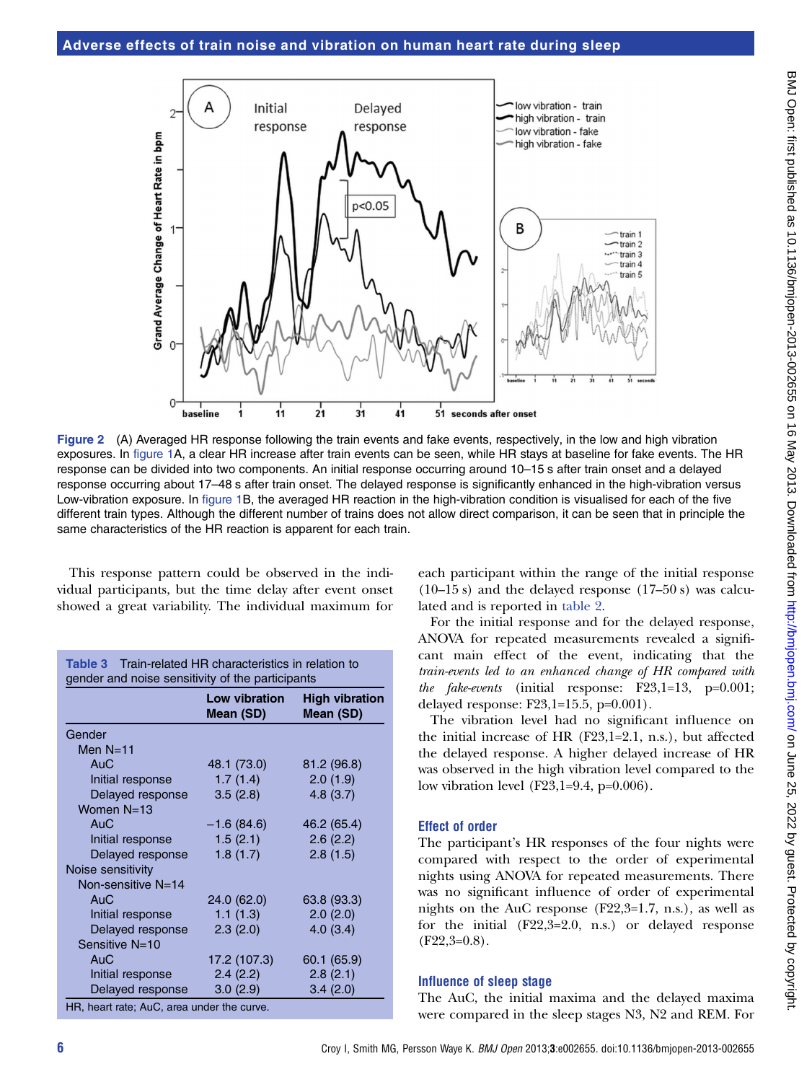

Figure 2 (A) Averaged HR response following the train events and fake events, respectively, in the low and high vibration exposures. In figure 1A, a clear HR increase after train events can be seen, while HR stays at baseline for fake events. The HR response can be divided into two components. An initial response occurring around 10–15 s after train onset and a delayed response occurring about 17–48 s after train onset. The delayed response is significantly enhanced in the high-vibration versus Low-vibration exposure. In figure 1B, the averaged HR reaction in the high-vibration condition is visualised for each of the five different train types. Although the different number of trains does not allow direct comparison, it can be seen that in principle the same characteristics of the HR reaction is apparent for each train.

This response pattern could be observed in the individual participants, but the time delay after event onset showed a great variability. The individual maximum for

| <b>Table 3</b> Train-related HR characteristics in relation to<br>gender and noise sensitivity of the participants |                                   |                                    |  |  |  |  |
|--------------------------------------------------------------------------------------------------------------------|-----------------------------------|------------------------------------|--|--|--|--|
|                                                                                                                    | <b>Low vibration</b><br>Mean (SD) | <b>High vibration</b><br>Mean (SD) |  |  |  |  |
| Gender                                                                                                             |                                   |                                    |  |  |  |  |
| Men $N=11$                                                                                                         |                                   |                                    |  |  |  |  |
| <b>AuC</b>                                                                                                         | 48.1 (73.0)                       | 81.2 (96.8)                        |  |  |  |  |
| Initial response                                                                                                   | 1.7(1.4)                          | 2.0(1.9)                           |  |  |  |  |
| Delayed response                                                                                                   | 3.5(2.8)                          | 4.8(3.7)                           |  |  |  |  |
| Women N=13                                                                                                         |                                   |                                    |  |  |  |  |
| AuC                                                                                                                | $-1.6(84.6)$                      | 46.2 (65.4)                        |  |  |  |  |
| Initial response                                                                                                   | 1.5(2.1)                          | 2.6(2.2)                           |  |  |  |  |
| Delayed response                                                                                                   | 1.8(1.7)                          | 2.8(1.5)                           |  |  |  |  |
| Noise sensitivity                                                                                                  |                                   |                                    |  |  |  |  |
| Non-sensitive N=14                                                                                                 |                                   |                                    |  |  |  |  |
| AuC                                                                                                                | 24.0 (62.0)                       | 63.8 (93.3)                        |  |  |  |  |
| Initial response                                                                                                   | 1.1(1.3)                          | 2.0(2.0)                           |  |  |  |  |
| Delayed response                                                                                                   | 2.3(2.0)                          | 4.0(3.4)                           |  |  |  |  |
| Sensitive N=10                                                                                                     |                                   |                                    |  |  |  |  |
| AuC                                                                                                                | 17.2 (107.3)                      | 60.1 (65.9)                        |  |  |  |  |
| Initial response                                                                                                   | 2.4(2.2)                          | 2.8(2.1)                           |  |  |  |  |
| Delayed response                                                                                                   | 3.0(2.9)                          | 3.4(2.0)                           |  |  |  |  |
| HR, heart rate; AuC, area under the curve.                                                                         |                                   |                                    |  |  |  |  |

each participant within the range of the initial response  $(10-15 s)$  and the delayed response  $(17-50 s)$  was calculated and is reported in table 2.

For the initial response and for the delayed response, ANOVA for repeated measurements revealed a significant main effect of the event, indicating that the train-events led to an enhanced change of HR compared with the fake-events (initial response: F23,1=13, p=0.001; delayed response: F23,1=15.5, p=0.001).

The vibration level had no significant influence on the initial increase of HR (F23,1=2.1, n.s.), but affected the delayed response. A higher delayed increase of HR was observed in the high vibration level compared to the low vibration level (F23,1=9.4, p=0.006).

# Effect of order

The participant's HR responses of the four nights were compared with respect to the order of experimental nights using ANOVA for repeated measurements. There was no significant influence of order of experimental nights on the AuC response (F22,3=1.7, n.s.), as well as for the initial (F22,3=2.0, n.s.) or delayed response  $(F22,3=0.8)$ .

# Influence of sleep stage

The AuC, the initial maxima and the delayed maxima were compared in the sleep stages N3, N2 and REM. For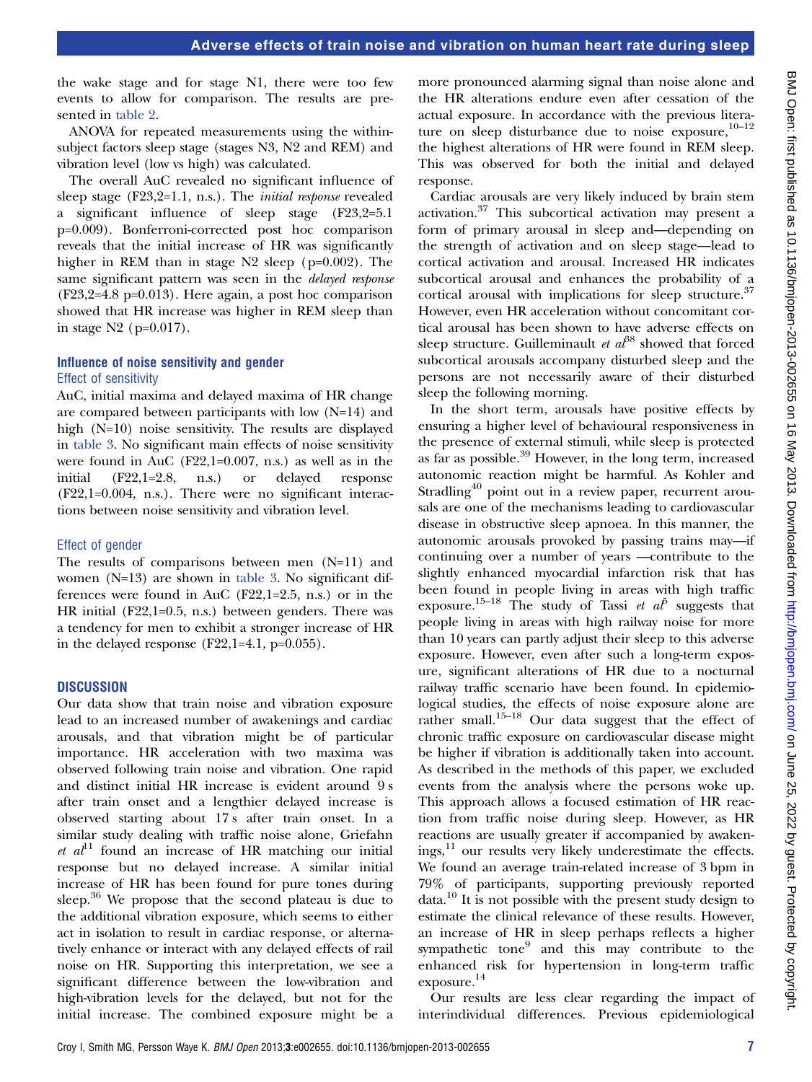the wake stage and for stage N1, there were too few events to allow for comparison. The results are presented in table 2.

ANOVA for repeated measurements using the withinsubject factors sleep stage (stages N3, N2 and REM) and vibration level (low vs high) was calculated.

The overall AuC revealed no significant influence of sleep stage (F23,2=1.1, n.s.). The initial response revealed a significant influence of sleep stage (F23,2=5.1 p=0.009). Bonferroni-corrected post hoc comparison reveals that the initial increase of HR was significantly higher in REM than in stage N2 sleep (p=0.002). The same significant pattern was seen in the delayed response (F23,2=4.8 p=0.013). Here again, a post hoc comparison showed that HR increase was higher in REM sleep than in stage N2 (p=0.017).

#### Influence of noise sensitivity and gender

#### Effect of sensitivity

AuC, initial maxima and delayed maxima of HR change are compared between participants with low (N=14) and high (N=10) noise sensitivity. The results are displayed in table 3. No significant main effects of noise sensitivity were found in AuC  $(F22, 1=0.007, n.s.)$  as well as in the initial (F22,1=2.8, n.s.) or delayed response (F22,1=0.004, n.s.). There were no significant interactions between noise sensitivity and vibration level.

## Effect of gender

The results of comparisons between men (N=11) and women (N=13) are shown in table 3. No significant differences were found in AuC (F22,1=2.5, n.s.) or in the HR initial (F22,1=0.5, n.s.) between genders. There was a tendency for men to exhibit a stronger increase of HR in the delayed response (F22,1=4.1, p=0.055).

## **DISCUSSION**

Our data show that train noise and vibration exposure lead to an increased number of awakenings and cardiac arousals, and that vibration might be of particular importance. HR acceleration with two maxima was observed following train noise and vibration. One rapid and distinct initial HR increase is evident around 9 s after train onset and a lengthier delayed increase is observed starting about 17 s after train onset. In a similar study dealing with traffic noise alone, Griefahn et  $al<sup>11</sup>$  found an increase of HR matching our initial response but no delayed increase. A similar initial increase of HR has been found for pure tones during sleep.<sup>36</sup> We propose that the second plateau is due to the additional vibration exposure, which seems to either act in isolation to result in cardiac response, or alternatively enhance or interact with any delayed effects of rail noise on HR. Supporting this interpretation, we see a significant difference between the low-vibration and high-vibration levels for the delayed, but not for the initial increase. The combined exposure might be a more pronounced alarming signal than noise alone and the HR alterations endure even after cessation of the actual exposure. In accordance with the previous literature on sleep disturbance due to noise exposure,  $10-12$ the highest alterations of HR were found in REM sleep. This was observed for both the initial and delayed response.

Cardiac arousals are very likely induced by brain stem activation.<sup>37</sup> This subcortical activation may present a form of primary arousal in sleep and—depending on the strength of activation and on sleep stage—lead to cortical activation and arousal. Increased HR indicates subcortical arousal and enhances the probability of a cortical arousal with implications for sleep structure.<sup>37</sup> However, even HR acceleration without concomitant cortical arousal has been shown to have adverse effects on sleep structure. Guilleminault *et*  $a^{38}$  showed that forced subcortical arousals accompany disturbed sleep and the persons are not necessarily aware of their disturbed sleep the following morning.

In the short term, arousals have positive effects by ensuring a higher level of behavioural responsiveness in the presence of external stimuli, while sleep is protected as far as possible.<sup>39</sup> However, in the long term, increased autonomic reaction might be harmful. As Kohler and Stradling<sup>40</sup> point out in a review paper, recurrent arousals are one of the mechanisms leading to cardiovascular disease in obstructive sleep apnoea. In this manner, the autonomic arousals provoked by passing trains may—if continuing over a number of years —contribute to the slightly enhanced myocardial infarction risk that has been found in people living in areas with high traffic exposure.<sup>15–18</sup> The study of Tassi et  $a\tilde{t}$  suggests that people living in areas with high railway noise for more than 10 years can partly adjust their sleep to this adverse exposure. However, even after such a long-term exposure, significant alterations of HR due to a nocturnal railway traffic scenario have been found. In epidemiological studies, the effects of noise exposure alone are rather small.15–<sup>18</sup> Our data suggest that the effect of chronic traffic exposure on cardiovascular disease might be higher if vibration is additionally taken into account. As described in the methods of this paper, we excluded events from the analysis where the persons woke up. This approach allows a focused estimation of HR reaction from traffic noise during sleep. However, as HR reactions are usually greater if accompanied by awakenings,<sup>11</sup> our results very likely underestimate the effects. We found an average train-related increase of 3 bpm in 79% of participants, supporting previously reported data.10 It is not possible with the present study design to estimate the clinical relevance of these results. However, an increase of HR in sleep perhaps reflects a higher sympathetic tone<sup>9</sup> and this may contribute to the enhanced risk for hypertension in long-term traffic exposure. 14

Our results are less clear regarding the impact of interindividual differences. Previous epidemiological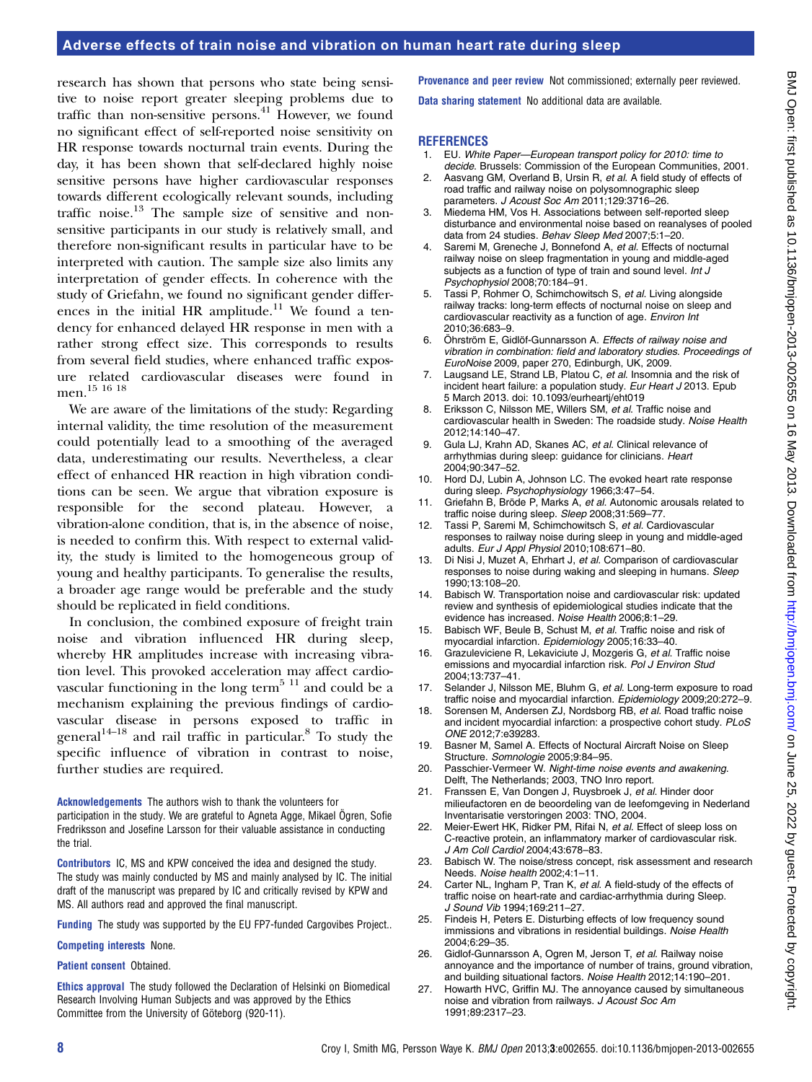research has shown that persons who state being sensitive to noise report greater sleeping problems due to traffic than non-sensitive persons.<sup>41</sup> However, we found no significant effect of self-reported noise sensitivity on HR response towards nocturnal train events. During the day, it has been shown that self-declared highly noise sensitive persons have higher cardiovascular responses towards different ecologically relevant sounds, including traffic noise. $13$  The sample size of sensitive and nonsensitive participants in our study is relatively small, and therefore non-significant results in particular have to be interpreted with caution. The sample size also limits any interpretation of gender effects. In coherence with the study of Griefahn, we found no significant gender differences in the initial HR amplitude.<sup>11</sup> We found a tendency for enhanced delayed HR response in men with a rather strong effect size. This corresponds to results from several field studies, where enhanced traffic exposure related cardiovascular diseases were found in men. 15 16 18

We are aware of the limitations of the study: Regarding internal validity, the time resolution of the measurement could potentially lead to a smoothing of the averaged data, underestimating our results. Nevertheless, a clear effect of enhanced HR reaction in high vibration conditions can be seen. We argue that vibration exposure is responsible for the second plateau. However, a vibration-alone condition, that is, in the absence of noise, is needed to confirm this. With respect to external validity, the study is limited to the homogeneous group of young and healthy participants. To generalise the results, a broader age range would be preferable and the study should be replicated in field conditions.

In conclusion, the combined exposure of freight train noise and vibration influenced HR during sleep, whereby HR amplitudes increase with increasing vibration level. This provoked acceleration may affect cardiovascular functioning in the long term<sup>5 11</sup> and could be a mechanism explaining the previous findings of cardiovascular disease in persons exposed to traffic in  $\text{general}^{14-18}$  and rail traffic in particular.<sup>8</sup> To study the specific influence of vibration in contrast to noise, further studies are required.

Acknowledgements The authors wish to thank the volunteers for participation in the study. We are grateful to Agneta Agge, Mikael Ögren, Sofie Fredriksson and Josefine Larsson for their valuable assistance in conducting the trial.

Contributors IC, MS and KPW conceived the idea and designed the study. The study was mainly conducted by MS and mainly analysed by IC. The initial draft of the manuscript was prepared by IC and critically revised by KPW and MS. All authors read and approved the final manuscript.

Funding The study was supported by the EU FP7-funded Cargovibes Project..

## Competing interests None.

#### Patient consent Obtained.

Ethics approval The study followed the Declaration of Helsinki on Biomedical Research Involving Human Subjects and was approved by the Ethics Committee from the University of Göteborg (920-11).

Provenance and peer review Not commissioned; externally peer reviewed.

Data sharing statement No additional data are available.

### **REFERENCES**

- 1. EU. White Paper—European transport policy for 2010: time to
- decide. Brussels: Commission of the European Communities, 2001. Aasvang GM, Overland B, Ursin R, et al. A field study of effects of road traffic and railway noise on polysomnographic sleep
- parameters. J Acoust Soc Am 2011;129:3716–26. 3. Miedema HM, Vos H. Associations between self-reported sleep disturbance and environmental noise based on reanalyses of pooled data from 24 studies. Behav Sleep Med 2007;5:1–20.
- 4. Saremi M, Greneche J, Bonnefond A, et al. Effects of nocturnal railway noise on sleep fragmentation in young and middle-aged subjects as a function of type of train and sound level. Int J Psychophysiol 2008;70:184–91.
- Tassi P, Rohmer O, Schimchowitsch S, et al. Living alongside railway tracks: long-term effects of nocturnal noise on sleep and cardiovascular reactivity as a function of age. Environ Int 2010;36:683–9.
- 6. Öhrström E, Gidlöf-Gunnarsson A. Effects of railway noise and vibration in combination: field and laboratory studies. Proceedings of EuroNoise 2009, paper 270, Edinburgh, UK, 2009.
- 7. Laugsand LE, Strand LB, Platou C, et al. Insomnia and the risk of incident heart failure: a population study. Eur Heart J 2013. Epub 5 March 2013. doi: [10.1093/eurheartj/eht019](http://dx.doi.org/10.1093/eurheartj/eht019)
- 8. Eriksson C, Nilsson ME, Willers SM, et al. Traffic noise and cardiovascular health in Sweden: The roadside study. Noise Health 2012;14:140–47.
- 9. Gula LJ, Krahn AD, Skanes AC, et al. Clinical relevance of arrhythmias during sleep: guidance for clinicians. Heart 2004;90:347–52.
- 10. Hord DJ, Lubin A, Johnson LC. The evoked heart rate response during sleep. Psychophysiology 1966;3:47-54.
- 11. Griefahn B, Bröde P, Marks A, et al. Autonomic arousals related to traffic noise during sleep. Sleep 2008;31:569–77.
- 12. Tassi P, Saremi M, Schimchowitsch S, et al. Cardiovascular responses to railway noise during sleep in young and middle-aged adults. Eur J Appl Physiol 2010;108:671–80.
- 13. Di Nisi J, Muzet A, Ehrhart J, et al. Comparison of cardiovascular responses to noise during waking and sleeping in humans. Sleep 1990;13:108–20.
- 14. Babisch W. Transportation noise and cardiovascular risk: updated review and synthesis of epidemiological studies indicate that the evidence has increased. Noise Health 2006;8:1–29.
- 15. Babisch WF, Beule B, Schust M, et al. Traffic noise and risk of myocardial infarction. Epidemiology 2005;16:33–40.
- 16. Grazuleviciene R, Lekaviciute J, Mozgeris G, et al. Traffic noise emissions and myocardial infarction risk. Pol J Environ Stud 2004;13:737–41.
- 17. Selander J, Nilsson ME, Bluhm G, et al. Long-term exposure to road traffic noise and myocardial infarction. Epidemiology 2009;20:272-9.
- Sorensen M, Andersen ZJ, Nordsborg RB, et al. Road traffic noise and incident myocardial infarction: a prospective cohort study. PLoS ONE 2012;7:e39283.
- 19. Basner M, Samel A. Effects of Noctural Aircraft Noise on Sleep Structure. Somnologie 2005;9:84–95.
- 20. Passchier-Vermeer W. Night-time noise events and awakening. Delft, The Netherlands; 2003, TNO Inro report.
- 21. Franssen E, Van Dongen J, Ruysbroek J, et al. Hinder door milieufactoren en de beoordeling van de leefomgeving in Nederland Inventarisatie verstoringen 2003: TNO, 2004.
- 22. Meier-Ewert HK, Ridker PM, Rifai N, et al. Effect of sleep loss on C-reactive protein, an inflammatory marker of cardiovascular risk. J Am Coll Cardiol 2004;43:678–83.
- 23. Babisch W. The noise/stress concept, risk assessment and research Needs. Noise health 2002;4:1–11.
- 24. Carter NL, Ingham P, Tran K, et al. A field-study of the effects of traffic noise on heart-rate and cardiac-arrhythmia during Sleep. J Sound Vib 1994;169:211–27.
- Findeis H, Peters E. Disturbing effects of low frequency sound immissions and vibrations in residential buildings. Noise Health 2004;6:29–35.
- 26. Gidlof-Gunnarsson A, Ogren M, Jerson T, et al. Railway noise annoyance and the importance of number of trains, ground vibration, and building situational factors. Noise Health 2012;14:190–201.
- 27. Howarth HVC, Griffin MJ. The annoyance caused by simultaneous noise and vibration from railways. J Acoust Soc Am 1991;89:2317–23.